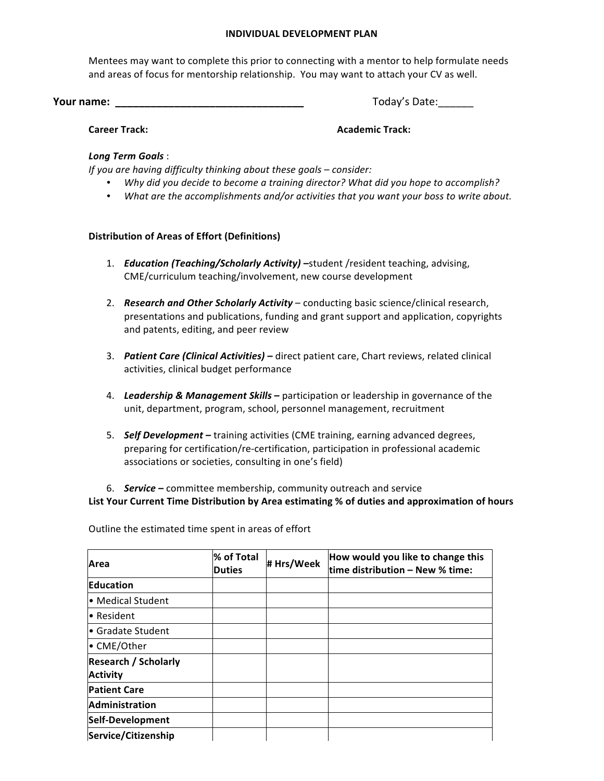#### **INDIVIDUAL DEVELOPMENT PLAN**

Mentees may want to complete this prior to connecting with a mentor to help formulate needs and areas of focus for mentorship relationship. You may want to attach your CV as well.

**Your name: \_\_\_\_\_\_\_\_\_\_\_\_\_\_\_\_\_\_\_\_\_\_\_\_\_\_\_\_\_\_\_\_** Today's Date:\_\_\_\_\_\_ 

**Career Track: Academic Track: Academic Track: Academic Track:** 

# *Long Term Goals* :

*If you are having difficulty thinking about these goals – consider:* 

- Why did you decide to become a training director? What did you hope to accomplish?
- What are the accomplishments and/or activities that you want your boss to write about.

# **Distribution of Areas of Effort (Definitions)**

- 1. *Education (Teaching/Scholarly Activity)* -student /resident teaching, advising, CME/curriculum teaching/involvement, new course development
- 2. **Research and Other Scholarly Activity** conducting basic science/clinical research, presentations and publications, funding and grant support and application, copyrights and patents, editing, and peer review
- 3. **Patient Care (Clinical Activities)** direct patient care, Chart reviews, related clinical activities, clinical budget performance
- 4. Leadership & Management Skills participation or leadership in governance of the unit, department, program, school, personnel management, recruitment
- 5. **Self Development** training activities (CME training, earning advanced degrees, preparing for certification/re-certification, participation in professional academic associations or societies, consulting in one's field)

6. **Service** – committee membership, community outreach and service

List Your Current Time Distribution by Area estimating % of duties and approximation of hours

Outline the estimated time spent in areas of effort

| Area                        | % of Total<br>Duties | # Hrs/Week | How would you like to change this<br>time distribution - New % time: |
|-----------------------------|----------------------|------------|----------------------------------------------------------------------|
| Education                   |                      |            |                                                                      |
| • Medical Student           |                      |            |                                                                      |
| • Resident                  |                      |            |                                                                      |
| • Gradate Student           |                      |            |                                                                      |
| • CME/Other                 |                      |            |                                                                      |
| <b>Research / Scholarly</b> |                      |            |                                                                      |
| <b>Activity</b>             |                      |            |                                                                      |
| <b>Patient Care</b>         |                      |            |                                                                      |
| Administration              |                      |            |                                                                      |
| Self-Development            |                      |            |                                                                      |
| Service/Citizenship         |                      |            |                                                                      |
| TOTAL                       |                      |            |                                                                      |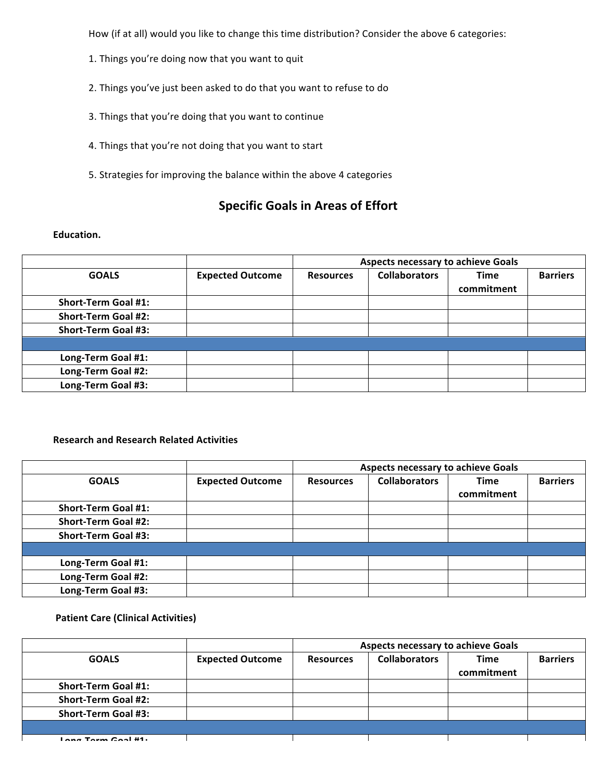How (if at all) would you like to change this time distribution? Consider the above 6 categories:

- 1. Things you're doing now that you want to quit
- 2. Things you've just been asked to do that you want to refuse to do
- 3. Things that you're doing that you want to continue
- 4. Things that you're not doing that you want to start
- 5. Strategies for improving the balance within the above 4 categories

# **Specific Goals in Areas of Effort**

#### Education.

|                            |                         | <b>Aspects necessary to achieve Goals</b> |                      |                           |                 |
|----------------------------|-------------------------|-------------------------------------------|----------------------|---------------------------|-----------------|
| <b>GOALS</b>               | <b>Expected Outcome</b> | <b>Resources</b>                          | <b>Collaborators</b> | <b>Time</b><br>commitment | <b>Barriers</b> |
| <b>Short-Term Goal #1:</b> |                         |                                           |                      |                           |                 |
| <b>Short-Term Goal #2:</b> |                         |                                           |                      |                           |                 |
| <b>Short-Term Goal #3:</b> |                         |                                           |                      |                           |                 |
|                            |                         |                                           |                      |                           |                 |
| Long-Term Goal #1:         |                         |                                           |                      |                           |                 |
| Long-Term Goal #2:         |                         |                                           |                      |                           |                 |
| Long-Term Goal #3:         |                         |                                           |                      |                           |                 |

# **Research and Research Related Activities**

|                            |                         | <b>Aspects necessary to achieve Goals</b> |                      |                           |                 |
|----------------------------|-------------------------|-------------------------------------------|----------------------|---------------------------|-----------------|
| <b>GOALS</b>               | <b>Expected Outcome</b> | <b>Resources</b>                          | <b>Collaborators</b> | <b>Time</b><br>commitment | <b>Barriers</b> |
| <b>Short-Term Goal #1:</b> |                         |                                           |                      |                           |                 |
| <b>Short-Term Goal #2:</b> |                         |                                           |                      |                           |                 |
| <b>Short-Term Goal #3:</b> |                         |                                           |                      |                           |                 |
|                            |                         |                                           |                      |                           |                 |
| Long-Term Goal #1:         |                         |                                           |                      |                           |                 |
| Long-Term Goal #2:         |                         |                                           |                      |                           |                 |
| Long-Term Goal #3:         |                         |                                           |                      |                           |                 |

## **Patient Care (Clinical Activities)**

|                            |                         | <b>Aspects necessary to achieve Goals</b> |                      |             |                 |
|----------------------------|-------------------------|-------------------------------------------|----------------------|-------------|-----------------|
| <b>GOALS</b>               | <b>Expected Outcome</b> | <b>Resources</b>                          | <b>Collaborators</b> | <b>Time</b> | <b>Barriers</b> |
|                            |                         |                                           |                      | commitment  |                 |
| <b>Short-Term Goal #1:</b> |                         |                                           |                      |             |                 |
| <b>Short-Term Goal #2:</b> |                         |                                           |                      |             |                 |
| <b>Short-Term Goal #3:</b> |                         |                                           |                      |             |                 |
|                            |                         |                                           |                      |             |                 |
| Long Torm Cool #1:         |                         |                                           |                      |             |                 |

**Long-Term Goal #2:**